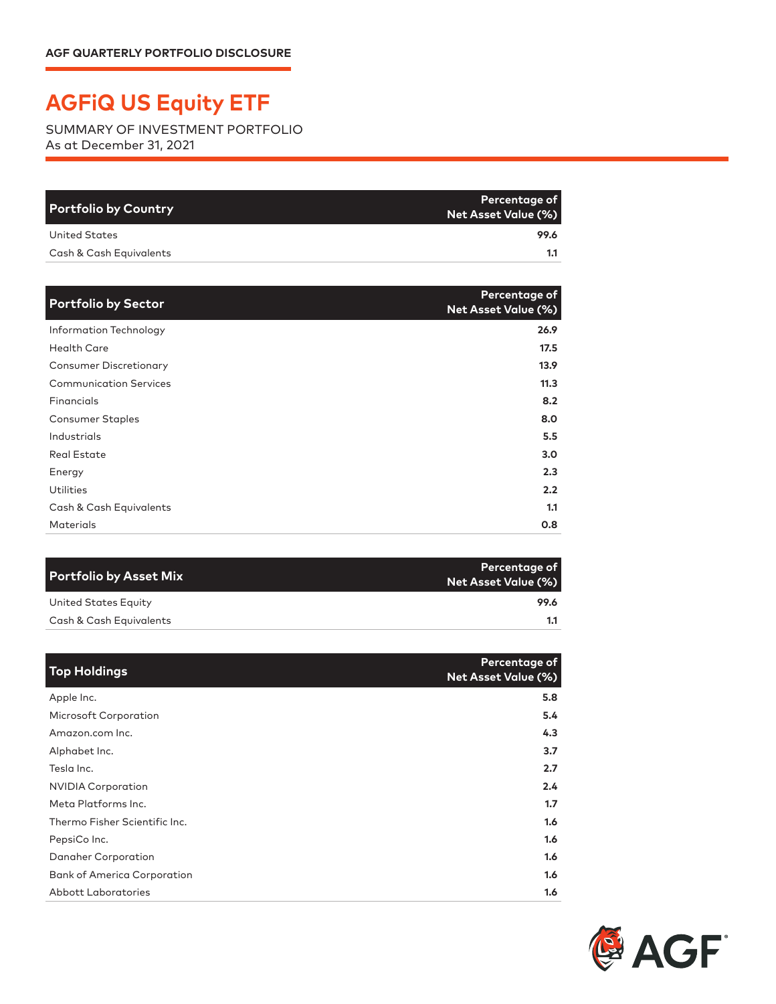## **AGFiQ US Equity ETF**

SUMMARY OF INVESTMENT PORTFOLIO As at December 31, 2021

| <b>Portfolio by Country</b> | Percentage of<br><b>Net Asset Value (%)</b> |
|-----------------------------|---------------------------------------------|
| United States               | 99.6                                        |
| Cash & Cash Equivalents     | 1.1                                         |

| <b>Portfolio by Sector</b>    | Percentage of<br><b>Net Asset Value (%)</b> |
|-------------------------------|---------------------------------------------|
| Information Technology        | 26.9                                        |
| <b>Health Care</b>            | 17.5                                        |
| <b>Consumer Discretionary</b> | 13.9                                        |
| <b>Communication Services</b> | 11.3                                        |
| Financials                    | 8.2                                         |
| <b>Consumer Staples</b>       | 8.0                                         |
| Industrials                   | 5.5                                         |
| <b>Real Estate</b>            | 3.0                                         |
| Energy                        | 2.3                                         |
| <b>Utilities</b>              | 2.2                                         |
| Cash & Cash Equivalents       | 1.1                                         |
| <b>Materials</b>              | 0.8                                         |

| Percentage of<br>Net Asset Value (%) |
|--------------------------------------|
| 99.6                                 |
|                                      |
|                                      |

| <b>Top Holdings</b>                | Percentage of<br><b>Net Asset Value (%)</b> |
|------------------------------------|---------------------------------------------|
| Apple Inc.                         | 5.8                                         |
| <b>Microsoft Corporation</b>       | 5.4                                         |
| Amazon.com Inc.                    | 4.3                                         |
| Alphabet Inc.                      | 3.7                                         |
| Tesla Inc.                         | 2.7                                         |
| <b>NVIDIA Corporation</b>          | 2.4                                         |
| Meta Platforms Inc.                | 1.7                                         |
| Thermo Fisher Scientific Inc.      | 1.6                                         |
| PepsiCo Inc.                       | 1.6                                         |
| Danaher Corporation                | 1.6                                         |
| <b>Bank of America Corporation</b> | 1.6                                         |
| <b>Abbott Laboratories</b>         | 1.6                                         |